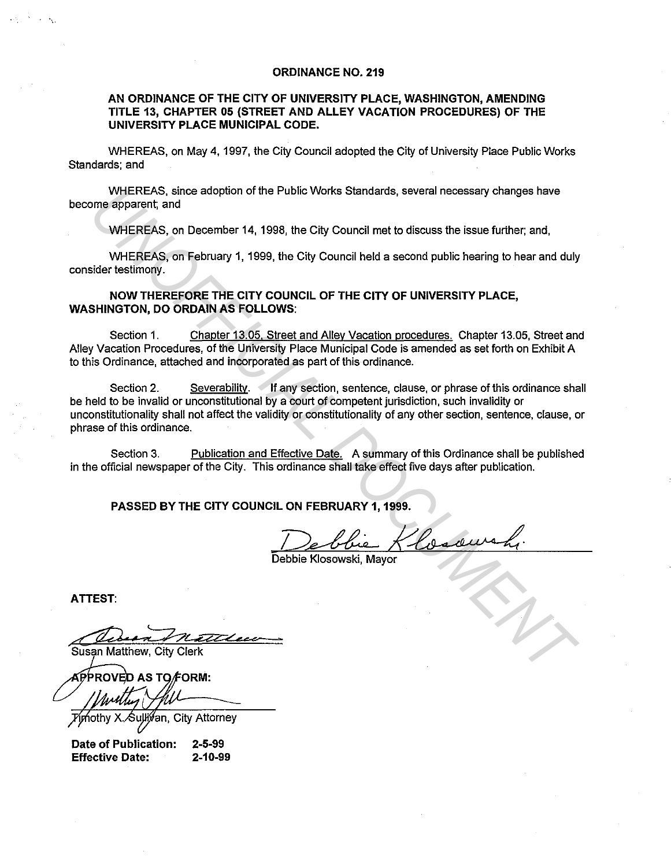## **ORDINANCE NO. 219**

# **AN ORDINANCE OF THE CITY OF UNIVERSITY PLACE, WASHINGTON, AMENDING TITLE** 13, **CHAPTER 05 (STREET AND ALLEY VACATION PROCEDURES) OF THE UNIVERSITY PLACE MUNICIPAL CODE.**

WHEREAS, on May 4, 1997, the City Council adopted the City of University Place Public Works Standards; and

WHEREAS, since adoption of the Public Works Standards, several necessary changes have become apparent; and

WHEREAS, on December 14, 1998, the City Council met to discuss the issue further; and,

WHEREAS, on February 1, 1999, the City Council held a second public hearing to hear and duly consider testimony.

**NOW THEREFORE THE CITY COUNCIL OF THE CITY OF UNIVERSITY PLACE, WASHINGTON, DO ORDAIN AS FOLLOWS:** 

Section 1. Chapter 13.05. Street and Alley Vacation procedures. Chapter 13.05, Street and Alley Vacation Procedures, of the University Place Municipal Code is amended as set forth on Exhibit A to this Ordinance, attached and incorporated as part of this ordinance.

Section 2. Severability. If any section, sentence, clause, or phrase of this ordinance shall be held to be invalid or unconstitutional by a court of competent jurisdiction, such invalidity or unconstitutionality shall not affect the validity or constitutionality of any other section, sentence, clause, or phrase of this ordinance. WHEREAS, since adoption of the Public Works Standards, several necessary changes have<br>
WHEREAS, on December 14, 1998, the City Council met to discuss the issue further, and,<br>
WHEREAS, on December 14, 1998, the City Council

Section 3. Publication and Effective Date. A summary of this Ordinance shall be published in the official newspaper of the City. This ordinance shall take effect five days after publication.

**PASSED BY THE CITY COUNCIL ON FEBRUARY 1, 1999.** 

Debbie Klosowski, Mayor

**ATTEST:** 

an, City Attorney

**Date of Publication: Effective Date: 2-5-99 2-10-99**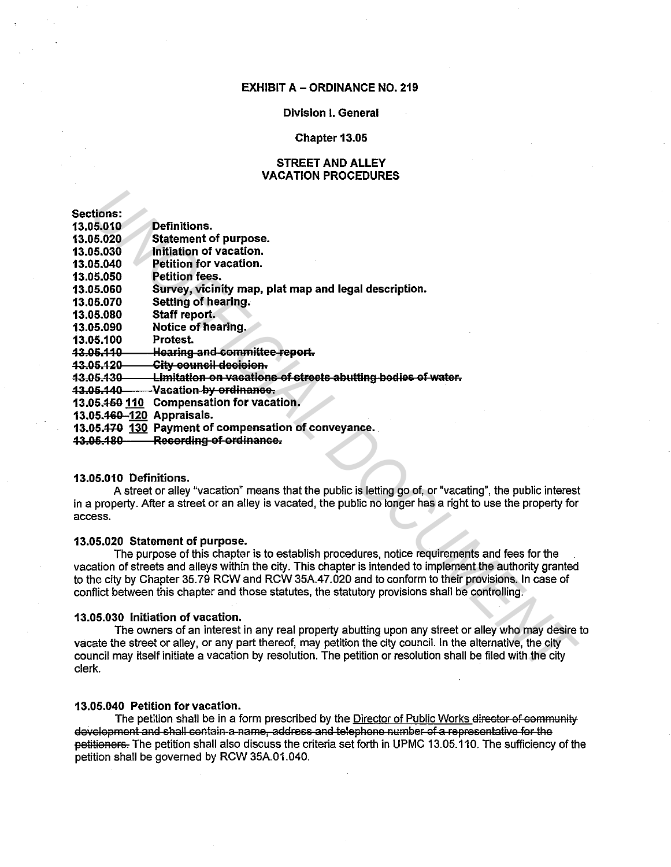## **EXHIBIT A - ORDINANCE NO. 219**

## **Division I. General**

## Chapter 13.05

# **STREET AND ALLEY VACATION PROCEDURES**

| <b>Sections:</b>          |                                                                     |
|---------------------------|---------------------------------------------------------------------|
| 13.05.010                 | Definitions.                                                        |
| 13.05.020                 | <b>Statement of purpose.</b>                                        |
| 13.05.030                 | Initiation of vacation.                                             |
| 13.05.040                 | Petition for vacation.                                              |
| 13.05.050                 | Petition fees.                                                      |
| 13.05.060                 | Survey, vicinity map, plat map and legal description.               |
| 13.05.070                 | Setting of hearing.                                                 |
| 13.05.080                 | Staff report.                                                       |
| 13.05.090                 | Notice of hearing.                                                  |
| 13.05.100                 | Protest.                                                            |
| 13.05.110                 | <b>Hearing and committee report.</b>                                |
| <u>43.06.420</u>          | <del>City council decision.</del>                                   |
| <u> 13.05.130</u>         | <u>Limitation on vacations of streets abutting bodies of water.</u> |
| 43.06.440                 | Vacation by ordinance.                                              |
| 13.05.4 <del>50</del> 110 | <b>Compensation for vacation.</b>                                   |
| 13.05.460-120 Appraisals. |                                                                     |
|                           | 13.05.470 130 Payment of compensation of conveyance.                |

13.06.180 Recording of ordinance.

## 13.05.010 Definitions.

A street or alley "vacation" means that the public is letting go of, or "vacating", the public interest in a property. After a street or an alley is vacated, the public no longer has a right to use the property for access.

## 13.05.020 Statement of purpose.

The purpose of this chapter is to establish procedures, notice requirements and fees for the vacation of streets and alleys within the city. This chapter is intended to implement the authority granted to the city by Chapter 35.79 RCW and RCW 35A.47.020 and to conform to their provisions. In case of conflict between this chapter and those statutes, the statutory provisions shall be controlling.

### 13.05.030 Initiation of vacation.

The owners of an interest in any real property abutting upon any street or alley who may desire to vacate the street or alley, or any part thereof, may petition the city council. In the alternative, the city council may itself initiate a vacation by resolution. The petition or resolution shall be filed with the city clerk.

## 13.05.040 Petition for vacation.

The petition shall be in a form prescribed by the Director of Public Works director of community development and shall contain a name, address and telephone number of a representative for the petitioners. The petition shall also discuss the criteria set forth in UPMC 13.05.110. The sufficiency of the petition shall be governed by RCW 35A.01.040.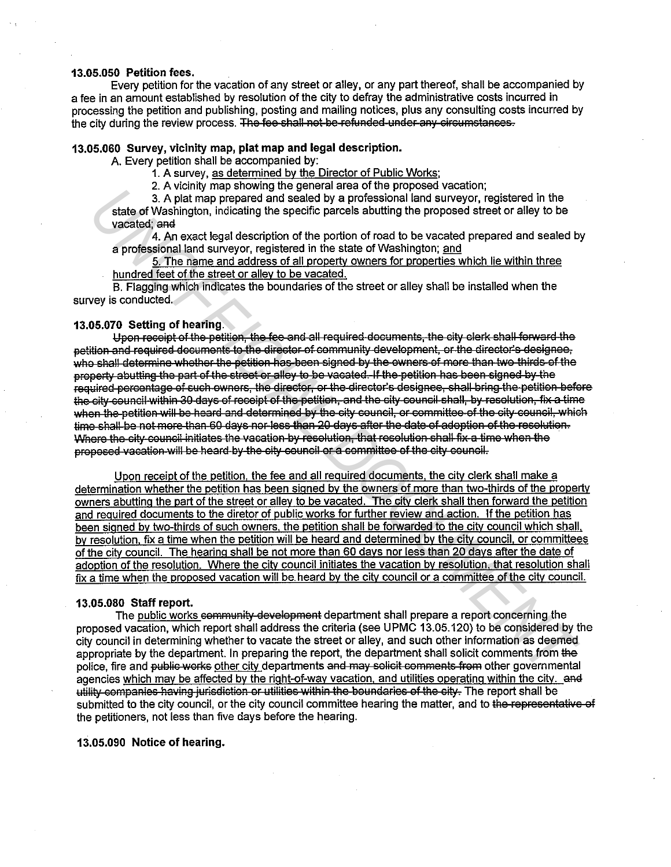## 13.05.050 Petition fees.

Every petition for the vacation of any street or alley, or any part thereof, shall be accompanied by a fee in an amount established by resolution of the city to defray the administrative costs incurred in processing the petition and publishing, posting and mailing notices, plus any consulting costs incurred by the city during the review process. The fee shall not be refunded under any circumstances.

# 13.05.060 Survey, vicinity map, plat map and legal description.

A. Every petition shall be accompanied by:

1. A survey, as determined by the Director of Public Works;

2. A vicinity map showing the general area of the proposed vacation:

3. A plat map prepared and sealed by a professional land surveyor, registered in the state of Washington, indicating the specific parcels abutting the proposed street or alley to be vacated: and

4. An exact legal description of the portion of road to be vacated prepared and sealed by a professional land survevor, registered in the state of Washington; and

5. The name and address of all property owners for properties which lie within three hundred feet of the street or alley to be vacated.

B. Flagging which indicates the boundaries of the street or alley shall be installed when the survey is conducted.

# 13.05.070 Setting of hearing.

Upon receipt of the petition, the fee and all required documents, the city clerk shall forward the petition and required documents to the director of community development, or the director's designee. who shall determine whether the petition has been signed by the owners of more than two thirds of the property abutting the part of the street or alley to be vacated. If the petition has been signed by the required percentage of such ewners, the director, or the director's designee, shall bring the petition before the city council within 30 days of receipt of the petition, and the city council shall, by resolution, fix a time when the petition will be heard and determined by the city council, or committee of the city council, which time shall be not more than 60 days nor less than 20 days after the date of adoption of the resolution. Where the city council initiates the vacation by resolution, that resolution shall fix a time when the proposed vacation will be heard by the city council or a committee of the city council.

Upon receipt of the petition, the fee and all required documents, the city clerk shall make a determination whether the petition has been signed by the owners of more than two-thirds of the property owners abutting the part of the street or alley to be vacated. The city clerk shall then forward the petition and required documents to the diretor of public works for further review and action. If the petition has been signed by two-thirds of such owners, the petition shall be forwarded to the city council which shall, by resolution, fix a time when the petition will be heard and determined by the city council, or committees of the city council. The hearing shall be not more than 60 days nor less than 20 days after the date of adoption of the resolution. Where the city council initiates the vacation by resolution, that resolution shall fix a time when the proposed vacation will be heard by the city council or a committee of the city council.

#### 13.05.080 Staff report.

The public works community development department shall prepare a report concerning the proposed vacation, which report shall address the criteria (see UPMC 13.05.120) to be considered by the city council in determining whether to vacate the street or alley, and such other information as deemed appropriate by the department. In preparing the report, the department shall solicit comments from the police, fire and public works other city departments and may solicit comments from other governmental agencies which may be affected by the right-of-way vacation, and utilities operating within the city. and utility companies having jurisdiction or utilities within the boundaries of the city. The report shall be submitted to the city council, or the city council committee hearing the matter, and to the representative of the petitioners, not less than five days before the hearing.

## 13.05.090 Notice of hearing.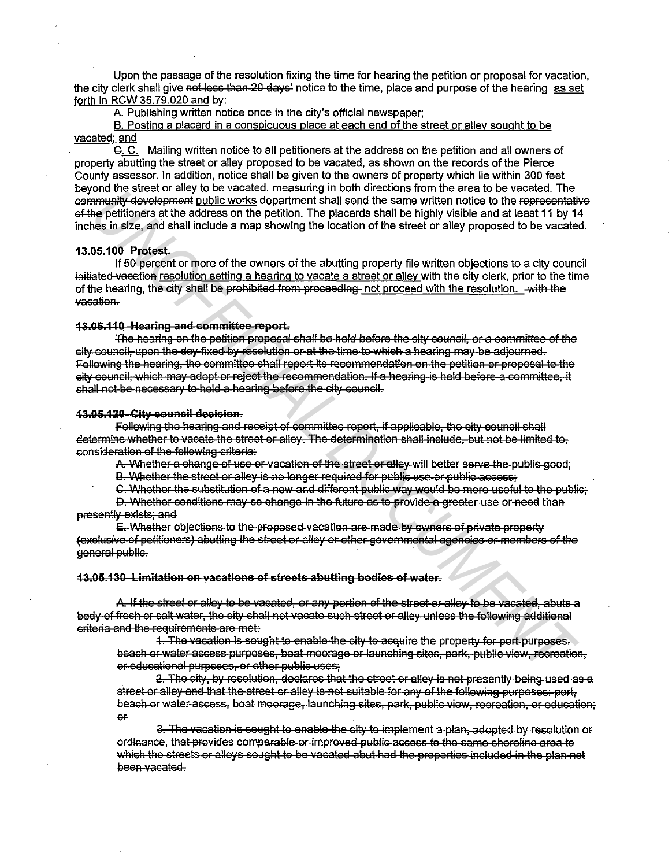Upon the passage of the resolution fixing the time for hearing the petition or proposal for vacation. the city clerk shall give not less than 20 days' notice to the time, place and purpose of the hearing as set forth in RCW 35.79.020 and by:

A. Publishing written notice once in the city's official newspaper;

B. Posting a placard in a conspicuous place at each end of the street or alley sought to be vacated: and

C. C. Mailing written notice to all petitioners at the address on the petition and all owners of property abutting the street or alley proposed to be vacated, as shown on the records of the Pierce County assessor. In addition, notice shall be given to the owners of property which lie within 300 feet beyond the street or alley to be vacated, measuring in both directions from the area to be vacated. The community development public works department shall send the same written notice to the representative of the petitioners at the address on the petition. The placards shall be highly visible and at least 11 by 14 inches in size, and shall include a map showing the location of the street or alley proposed to be vacated.

## 13.05.100 Protest.

If 50 percent or more of the owners of the abutting property file written objections to a city council initiated vacation resolution setting a hearing to vacate a street or alley with the city clerk, prior to the time of the hearing, the city shall be prohibited from proceeding not proceed with the resolution. with the vacation.

## 43.05.110 Hearing and committee-report.

The hearing on the petition proposal shall be held before the city council, or a committee of the city council, upon the day fixed by resolution or at the time to which a hearing may be adjourned. Following the hearing, the committee shall report its recommendation on the petition or proposal to the city council, which may adopt or reject the recommendation. If a hearing is held before a committee, it shall not be necessary to hold a hearing before the city council.

## 43.05.120 City council decision.

Following the hearing and receipt of committee report. If applicable, the city council shall determine whether to vacate the street or alley. The determination shall include, but not be limited to, consideration of the following criteria:

A. Whether a change of use or vacation of the street or alley will better serve the public good:

B. Whether the street or alley is no longer required for public use or public access:

C. Whether the substitution of a new and different public way would be more useful to the public;

D. Whether conditions may so change in the future as to provide a greater use or need than presently exists; and

E. Whether objections to the proposed vacation are made by owners of private property (exclusive of petitioners) abutting the street or alley or other governmental agencies or members of the general public.

### 43.05.130 Limitation on vacations of streets abutting bodies of water.

A. If the street or alley to be vacated, or any portion of the street or alley to be vacated, abuts a body of fresh or salt water, the city shall not vacate such street or alley unless the following additional criteria and the requirements are met:

1. The vacation is sought to enable the city to acquire the property for port purposes, beach or water access purposes, boat moorage or launching sites, park, public view, recreation, or educational purposes, or other public uses;

2. The city, by resolution, declares that the street or alley is not presently being used as a street or alley and that the street or alley is not suitable for any of the following purposes; port, beach or water ascess, boat moorage, launching sites, park, public view, recreation, or education;  $\Theta$  $\mathsf{F}$ 

3. The vacation is sought to enable the city to implement a plan, adopted by resolution or ordinance, that provides comparable or improved public access to the same shoreline area to which the streets or alleys sought to be vacated abut had the properties included in the plan not been vacated.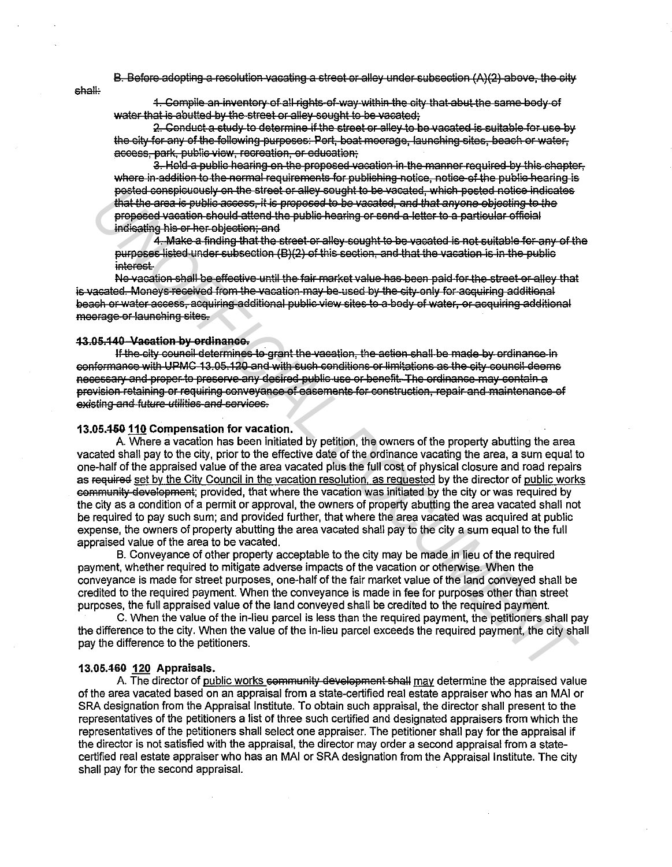B. Before adopting a resolution vacating a street or alley under subsection (A)(2) above, the city

shall:

1. Compile an inventory of all rights-of-way within the city that abut the same body of water that is abutted by the street or alley sought to be vacated;

2. Conduct a study to determine if the street or alley to be vacated is suitable for use by the city for any of the following purposes: Port, boat moorage, launching sites, beach or water. access, park, public view, recreation, or education.

3. Hold a public hearing on the proposed vacation in the manner required by this chapter. where in addition to the normal requirements for publishing notice notice of the public hearing is posted conspicuously on the street or alley sought to be vacated, which posted notice indicates that the area is public access, it is proposed to be vacated, and that anyone objecting to the proposed vacation should attend the public hearing or send a letter to a particular official indicating his or her objection; and

4. Make a finding that the street or alley sought to be vacated is not suitable for any of the purposes listed under subsection (B)(2) of this section, and that the vacation is in the public *interest* 

No vacation shall be effective until the fair market value has been paid for the street or alley that is vacated. Moneys received from the vacation may be used by the city only for asquiring additional beach or water access, acquiring additional public view sites to a body of water, or acquiring additional moorage or launching sites.

## 43.05.140 Vacation by ordinance.

If the city council determines to grant the vacation, the action shall be made by ordinance in conformance with UPMC 13.05.120 and with such conditions or limitations as the city council deems necessary and proper to preserve any desired public use or benefit. The ordinance may contain a provision retaining or requiring conveyance of casements for construction, repair and maintenance of existing and future utilities and services.

### 13.05.450 110 Compensation for vacation.

A. Where a vacation has been initiated by petition, the owners of the property abutting the area vacated shall pay to the city, prior to the effective date of the ordinance vacating the area, a sum equal to one-half of the appraised value of the area vacated plus the full cost of physical closure and road repairs as required set by the City Council in the vacation resolution, as requested by the director of public works community development; provided, that where the vacation was initiated by the city or was required by the city as a condition of a permit or approval, the owners of property abutting the area vacated shall not be required to pay such sum; and provided further, that where the area vacated was acquired at public expense, the owners of property abutting the area vacated shall pay to the city a sum equal to the full appraised value of the area to be vacated.

B. Conveyance of other property acceptable to the city may be made in lieu of the required payment, whether required to mitigate adverse impacts of the vacation or otherwise. When the convevance is made for street purposes, one-half of the fair market value of the land conveyed shall be credited to the required payment. When the conveyance is made in fee for purposes other than street purposes, the full appraised value of the land conveyed shall be credited to the required payment.

C. When the value of the in-lieu parcel is less than the required payment, the petitioners shall pay the difference to the city. When the value of the in-lieu parcel exceeds the required payment, the city shall pay the difference to the petitioners.

## 13.05.460 120 Appraisals.

A. The director of public works community development shall may determine the appraised value of the area vacated based on an appraisal from a state-certified real estate appraiser who has an MAI or SRA designation from the Appraisal Institute. To obtain such appraisal, the director shall present to the representatives of the petitioners a list of three such certified and designated appraisers from which the representatives of the petitioners shall select one appraiser. The petitioner shall pay for the appraisal if the director is not satisfied with the appraisal, the director may order a second appraisal from a statecertified real estate appraiser who has an MAI or SRA designation from the Appraisal Institute. The city shall pay for the second appraisal.